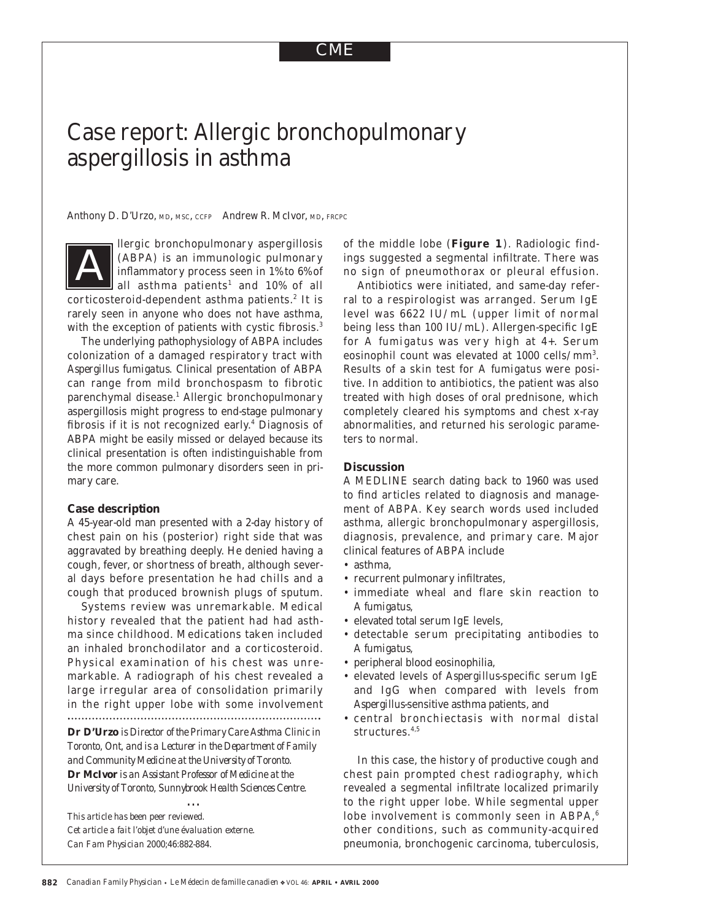# Case report: Allergic bronchopulmonary aspergillosis in asthma

Anthony D. D'Urzo, MD, MSC, CCFP Andrew R. McIvor, MD, FRCPC

llergic bronchopulmonary aspergillosis (ABPA) is an immunologic pulmonary inflammatory process seen in 1% to 6% of all asthma patients<sup>1</sup> and 10% of all corticosteroid-dependent asthma patients.<sup>2</sup> It is rarely seen in anyone who does not have asthma, with the exception of patients with cystic fibrosis.<sup>3</sup> *A*

The underlying pathophysiology of ABPA includes colonization of a damaged respiratory tract with *Aspergillus fumigatus*. Clinical presentation of ABPA can range from mild bronchospasm to fibrotic parenchymal disease.<sup>1</sup> Allergic bronchopulmonary aspergillosis might progress to end-stage pulmonary fibrosis if it is not recognized early.4 Diagnosis of ABPA might be easily missed or delayed because its clinical presentation is often indistinguishable from the more common pulmonary disorders seen in primary care.

#### **Case description**

A 45-year-old man presented with a 2-day history of chest pain on his (posterior) right side that was aggravated by breathing deeply. He denied having a cough, fever, or shortness of breath, although several days before presentation he had chills and a cough that produced brownish plugs of sputum.

Systems review was unremarkable. Medical history revealed that the patient had had asthma since childhood. Medications taken included an inhaled bronchodilator and a corticosteroid. Physical examination of his chest was unremarkable. A radiograph of his chest revealed a large irregular area of consolidation primarily in the right upper lobe with some involvement 

**Dr D'Urzo** *is Director of the Primary Care Asthma Clinic in Toronto, Ont, and is a Lecturer in the Department of Family and Community Medicine at the University of Toronto.*  **Dr McIvor** *is an Assistant Professor of Medicine at the University of Toronto, Sunnybrook Health Sciences Centre.*

…

*This article has been peer reviewed. Cet article a fait l'objet d'une évaluation externe. Can Fam Physician* 2000;46:882-884.

of the middle lobe (**Figure 1**). Radiologic findings suggested a segmental infiltrate. There was no sign of pneumothorax or pleural effusion.

Antibiotics were initiated, and same-day referral to a respirologist was arranged. Serum IgE level was 6622 IU/mL (upper limit of normal being less than 100 IU/mL). Allergen-specific IgE for *A fumigatus* was very high at 4+. Serum eosinophil count was elevated at 1000 cells/mm<sup>3</sup>. Results of a skin test for *A fumigatus* were positive. In addition to antibiotics, the patient was also treated with high doses of oral prednisone, which completely cleared his symptoms and chest x-ray abnormalities, and returned his serologic parameters to normal.

### **Discussion**

A MEDLINE search dating back to 1960 was used to find articles related to diagnosis and management of ABPA. Key search words used included asthma, allergic bronchopulmonary aspergillosis, diagnosis, prevalence, and primary care. Major clinical features of ABPA include

- asthma,
- recurrent pulmonary infiltrates,
- immediate wheal and flare skin reaction to *A fumigatus,*
- elevated total serum IgE levels,
- detectable serum precipitating antibodies to *A fumigatus,*
- peripheral blood eosinophilia,
- elevated levels of *Aspergillus*-specific serum IgE and IgG when compared with levels from *Aspergillus*-sensitive asthma patients, and
- central bronchiectasis with normal distal structures.4,5

In this case, the history of productive cough and chest pain prompted chest radiography, which revealed a segmental infiltrate localized primarily to the right upper lobe. While segmental upper lobe involvement is commonly seen in ABPA,<sup>6</sup> other conditions, such as community-acquired pneumonia, bronchogenic carcinoma, tuberculosis,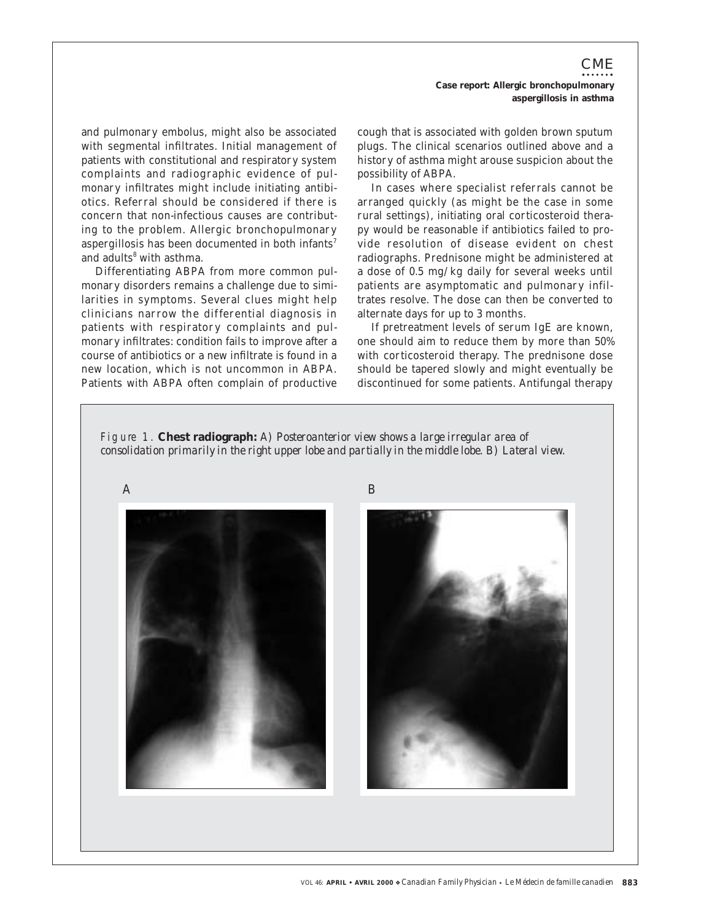CME **Case report: Allergic bronchopulmonary aspergillosis in asthma**

and pulmonary embolus, might also be associated with segmental infiltrates. Initial management of patients with constitutional and respiratory system complaints and radiographic evidence of pulmonary infiltrates might include initiating antibiotics. Referral should be considered if there is concern that non-infectious causes are contributing to the problem. Allergic bronchopulmonary aspergillosis has been documented in both infants<sup>7</sup> and adults<sup>8</sup> with asthma.

Differentiating ABPA from more common pulmonary disorders remains a challenge due to similarities in symptoms. Several clues might help clinicians narrow the differential diagnosis in patients with respiratory complaints and pulmonary infiltrates: condition fails to improve after a course of antibiotics or a new infiltrate is found in a new location, which is not uncommon in ABPA. Patients with ABPA often complain of productive cough that is associated with golden brown sputum plugs. The clinical scenarios outlined above and a history of asthma might arouse suspicion about the possibility of ABPA.

In cases where specialist referrals cannot be arranged quickly (as might be the case in some rural settings), initiating oral corticosteroid therapy would be reasonable if antibiotics failed to provide resolution of disease evident on chest radiographs. Prednisone might be administered at a dose of 0.5 mg/kg daily for several weeks until patients are asymptomatic and pulmonary infiltrates resolve. The dose can then be converted to alternate days for up to 3 months.

If pretreatment levels of serum IgE are known, one should aim to reduce them by more than 50% with corticosteroid therapy. The prednisone dose should be tapered slowly and might eventually be discontinued for some patients. Antifungal therapy

F i g u re 1. **Chest radiograph:** *A) Posteroanterior view shows a large irregular area of consolidation primarily in the right upper lobe and partially in the middle lobe. B) Lateral view.*